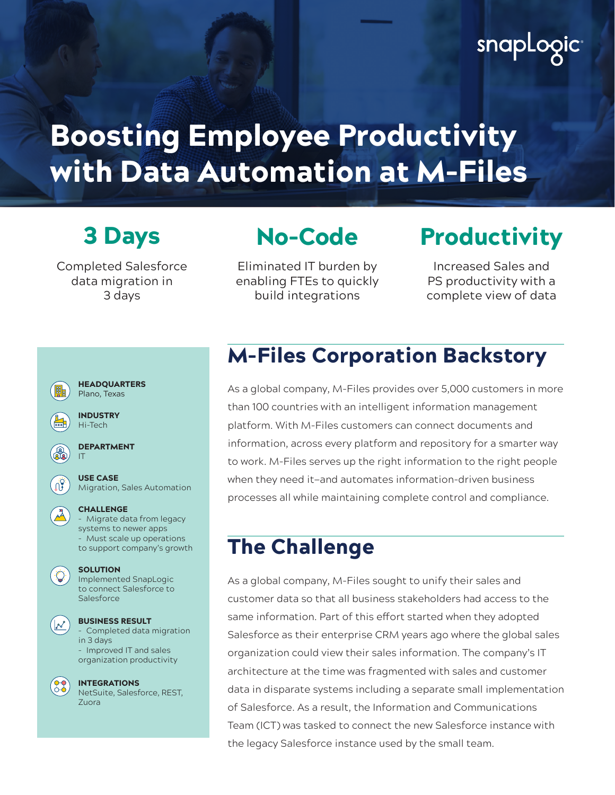## snapLogic

# Boosting Employee Productivity with Data Automation at M-Files

Completed Salesforce data migration in 3 days

## No-Code

Eliminated IT burden by enabling FTEs to quickly build integrations

## 3 Days No-Code Productivity

Increased Sales and PS productivity with a complete view of data

| <b>HEADOUARTERS</b><br>Plano, Texas                                                                                                |
|------------------------------------------------------------------------------------------------------------------------------------|
| <b>INDUSTRY</b><br>Hi-Tech                                                                                                         |
| <b>DEPARTMENT</b><br>IΤ                                                                                                            |
| <b>USE CASE</b><br>Migration, Sales Automation                                                                                     |
| <b>CHALLENGE</b><br>- Migrate data from legacy<br>systems to newer apps<br>Must scale up operations<br>to support company's growth |
| <b>SOLUTION</b><br><b>Implemented SnapLogic</b><br>to connect Salesforce to<br>Salesforce                                          |
| <b>BUSINESS RESULT</b><br>Completed data migration<br>in 3 days<br>Improved IT and sales<br>organization productivity              |
| <b>INTEGRATIONS</b><br>NetSuite, Salesforce, REST,<br>Zuora                                                                        |

## M-Files Corporation Backstory

As a global company, M-Files provides over 5,000 customers in more than 100 countries with an intelligent information management platform. With M-Files customers can connect documents and information, across every platform and repository for a smarter way to work. M-Files serves up the right information to the right people when they need it—and automates information-driven business processes all while maintaining complete control and compliance.

#### The Challenge

As a global company, M-Files sought to unify their sales and customer data so that all business stakeholders had access to the same information. Part of this effort started when they adopted Salesforce as their enterprise CRM years ago where the global sales organization could view their sales information. The company's IT architecture at the time was fragmented with sales and customer data in disparate systems including a separate small implementation of Salesforce. As a result, the Information and Communications Team (ICT) was tasked to connect the new Salesforce instance with the legacy Salesforce instance used by the small team.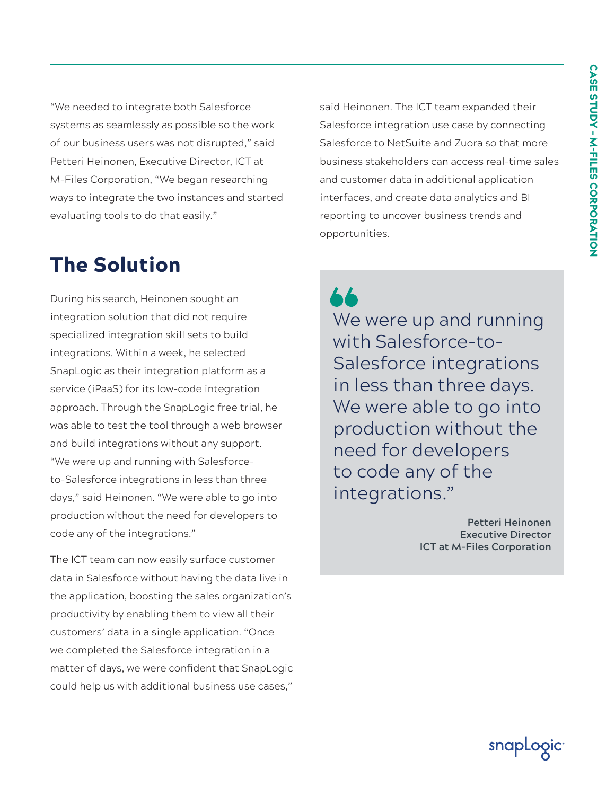"We needed to integrate both Salesforce systems as seamlessly as possible so the work of our business users was not disrupted," said Petteri Heinonen, Executive Director, ICT at M-Files Corporation, "We began researching ways to integrate the two instances and started evaluating tools to do that easily."

said Heinonen. The ICT team expanded their Salesforce integration use case by connecting Salesforce to NetSuite and Zuora so that more business stakeholders can access real-time sales and customer data in additional application interfaces, and create data analytics and BI reporting to uncover business trends and opportunities.

### The Solution

During his search, Heinonen sought an integration solution that did not require specialized integration skill sets to build integrations. Within a week, he selected SnapLogic as their integration platform as a service (iPaaS) for its low-code integration approach. Through the SnapLogic free trial, he was able to test the tool through a web browser and build integrations without any support. "We were up and running with Salesforceto-Salesforce integrations in less than three days," said Heinonen. "We were able to go into production without the need for developers to code any of the integrations."

The ICT team can now easily surface customer data in Salesforce without having the data live in the application, boosting the sales organization's productivity by enabling them to view all their customers' data in a single application. "Once we completed the Salesforce integration in a matter of days, we were confident that SnapLogic could help us with additional business use cases,"

We were up and running with Salesforce-to-Salesforce integrations in less than three days. We were able to go into production without the need for developers to code any of the integrations."

> **Petteri Heinonen Executive Director ICT at M-Files Corporation**